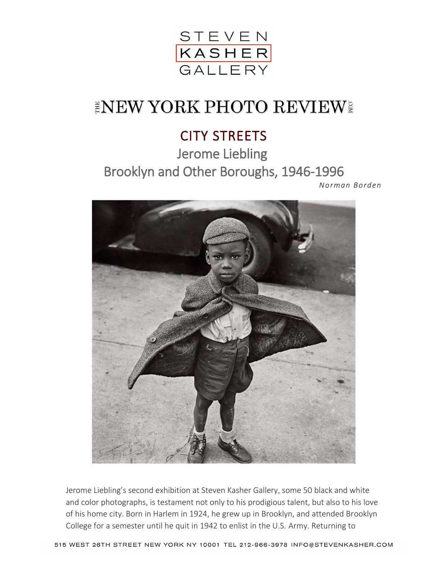

## **INEW YORK PHOTO REVIEW!**

## CITY STREETS

Jerome Liebling Brooklyn and Other Boroughs, 1946-1996

*[No rman Bo rden](http://www.normanbordenphoto.com/)*



Jerome Liebling's second exhibition at Steven Kasher Gallery, some 50 black and white and color photographs, is testament not only to his prodigious talent, but also to his love of his home city. Born in Harlem in 1924, he grew up in Brooklyn, and attended Brooklyn College for a semester until he quit in 1942 to enlist in the U.S. Army. Returning to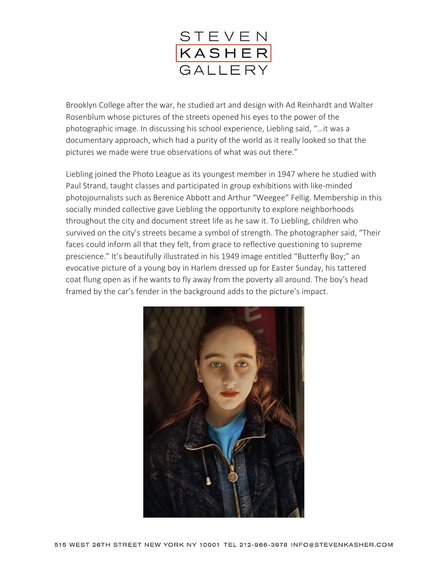

Brooklyn College after the war, he studied art and design with Ad Reinhardt and Walter Rosenblum whose pictures of the streets opened his eyes to the power of the photographic image. In discussing his school experience, Liebling said, "…it was a documentary approach, which had a purity of the world as it really looked so that the pictures we made were true observations of what was out there."

Liebling joined the Photo League as its youngest member in 1947 where he studied with Paul Strand, taught classes and participated in group exhibitions with like-minded photojournalists such as Berenice Abbott and Arthur "Weegee" Fellig. Membership in this socially minded collective gave Liebling the opportunity to explore neighborhoods throughout the city and document street life as he saw it. To Liebling, children who survived on the city's streets became a symbol of strength. The photographer said, "Their faces could inform all that they felt, from grace to reflective questioning to supreme prescience." It's beautifully illustrated in his 1949 image entitled "Butterfly Boy;" an evocative picture of a young boy in Harlem dressed up for Easter Sunday, his tattered coat flung open as if he wants to fly away from the poverty all around. The boy's head framed by the car's fender in the background adds to the picture's impact.

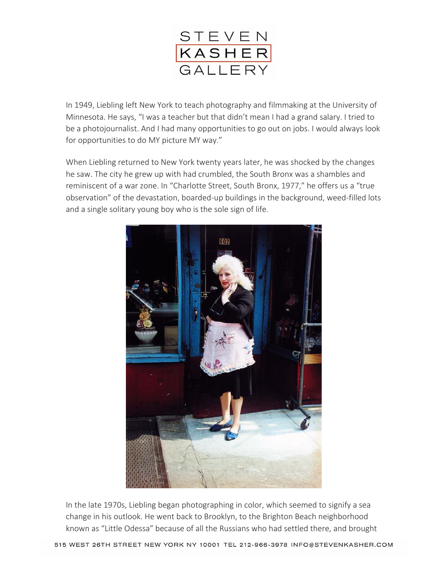

In 1949, Liebling left New York to teach photography and filmmaking at the University of Minnesota. He says, "I was a teacher but that didn't mean I had a grand salary. I tried to be a photojournalist. And I had many opportunities to go out on jobs. I would always look for opportunities to do MY picture MY way."

When Liebling returned to New York twenty years later, he was shocked by the changes he saw. The city he grew up with had crumbled, the South Bronx was a shambles and reminiscent of a war zone. In "Charlotte Street, South Bronx, 1977," he offers us a "true observation" of the devastation, boarded-up buildings in the background, weed-filled lots and a single solitary young boy who is the sole sign of life.



In the late 1970s, Liebling began photographing in color, which seemed to signify a sea change in his outlook. He went back to Brooklyn, to the Brighton Beach neighborhood known as "Little Odessa" because of all the Russians who had settled there, and brought

515 WEST 26TH STREET NEW YORK NY 10001 TEL 212-966-3978 INFO@STEVENKASHER.COM